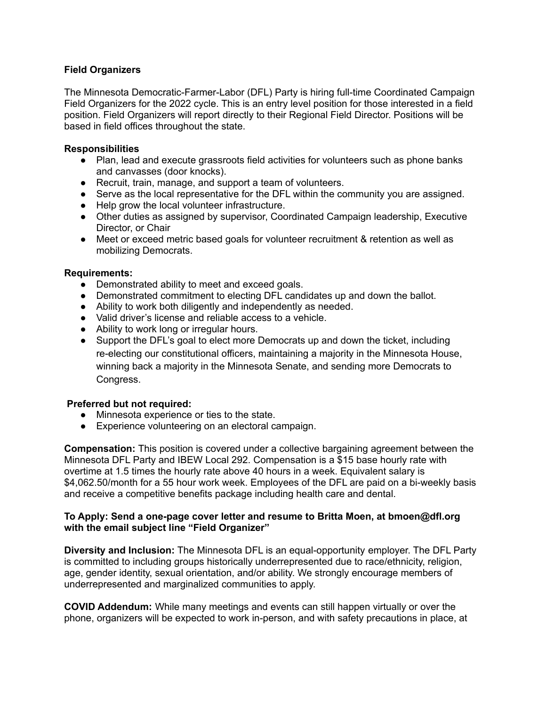## **Field Organizers**

The Minnesota Democratic-Farmer-Labor (DFL) Party is hiring full-time Coordinated Campaign Field Organizers for the 2022 cycle. This is an entry level position for those interested in a field position. Field Organizers will report directly to their Regional Field Director. Positions will be based in field offices throughout the state.

#### **Responsibilities**

- Plan, lead and execute grassroots field activities for volunteers such as phone banks and canvasses (door knocks).
- Recruit, train, manage, and support a team of volunteers.
- Serve as the local representative for the DFL within the community you are assigned.
- Help grow the local volunteer infrastructure.
- Other duties as assigned by supervisor, Coordinated Campaign leadership, Executive Director, or Chair
- Meet or exceed metric based goals for volunteer recruitment & retention as well as mobilizing Democrats.

### **Requirements:**

- Demonstrated ability to meet and exceed goals.
- Demonstrated commitment to electing DFL candidates up and down the ballot.
- Ability to work both diligently and independently as needed.
- Valid driver's license and reliable access to a vehicle.
- Ability to work long or irregular hours.
- Support the DFL's goal to elect more Democrats up and down the ticket, including re-electing our constitutional officers, maintaining a majority in the Minnesota House, winning back a majority in the Minnesota Senate, and sending more Democrats to Congress.

## **Preferred but not required:**

- Minnesota experience or ties to the state.
- Experience volunteering on an electoral campaign.

**Compensation:** This position is covered under a collective bargaining agreement between the Minnesota DFL Party and IBEW Local 292. Compensation is a \$15 base hourly rate with overtime at 1.5 times the hourly rate above 40 hours in a week. Equivalent salary is \$4,062.50/month for a 55 hour work week. Employees of the DFL are paid on a bi-weekly basis and receive a competitive benefits package including health care and dental.

### **To Apply: Send a one-page cover letter and resume to Britta Moen, at bmoen@dfl.org with the email subject line "Field Organizer"**

**Diversity and Inclusion:** The Minnesota DFL is an equal-opportunity employer. The DFL Party is committed to including groups historically underrepresented due to race/ethnicity, religion, age, gender identity, sexual orientation, and/or ability. We strongly encourage members of underrepresented and marginalized communities to apply.

**COVID Addendum:** While many meetings and events can still happen virtually or over the phone, organizers will be expected to work in-person, and with safety precautions in place, at